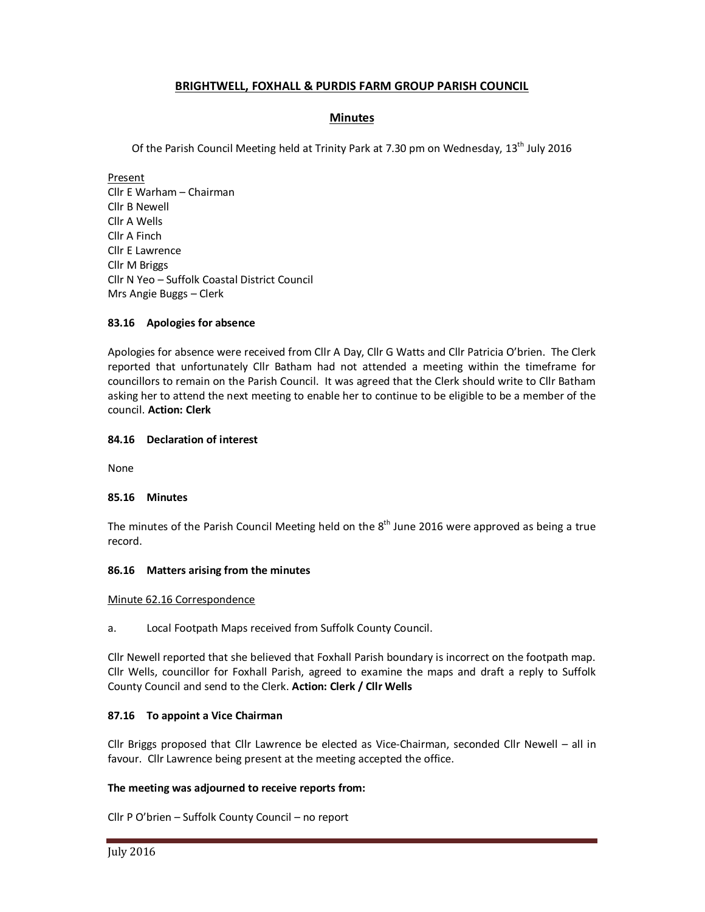# **BRIGHTWELL, FOXHALL & PURDIS FARM GROUP PARISH COUNCIL**

# **Minutes**

Of the Parish Council Meeting held at Trinity Park at 7.30 pm on Wednesday, 13<sup>th</sup> July 2016

Present Cllr E Warham – Chairman Cllr B Newell Cllr A Wells Cllr A Finch Cllr E Lawrence Cllr M Briggs Cllr N Yeo – Suffolk Coastal District Council Mrs Angie Buggs – Clerk

# **83.16 Apologies for absence**

Apologies for absence were received from Cllr A Day, Cllr G Watts and Cllr Patricia O'brien. The Clerk reported that unfortunately Cllr Batham had not attended a meeting within the timeframe for councillors to remain on the Parish Council. It was agreed that the Clerk should write to Cllr Batham asking her to attend the next meeting to enable her to continue to be eligible to be a member of the council. **Action: Clerk**

# **84.16 Declaration of interest**

None

# **85.16 Minutes**

The minutes of the Parish Council Meeting held on the  $8<sup>th</sup>$  June 2016 were approved as being a true record.

### **86.16 Matters arising from the minutes**

### Minute 62.16 Correspondence

a. Local Footpath Maps received from Suffolk County Council.

Cllr Newell reported that she believed that Foxhall Parish boundary is incorrect on the footpath map. Cllr Wells, councillor for Foxhall Parish, agreed to examine the maps and draft a reply to Suffolk County Council and send to the Clerk. **Action: Clerk / Cllr Wells** 

# **87.16 To appoint a Vice Chairman**

Cllr Briggs proposed that Cllr Lawrence be elected as Vice-Chairman, seconded Cllr Newell – all in favour. Cllr Lawrence being present at the meeting accepted the office.

# **The meeting was adjourned to receive reports from:**

Cllr P O'brien – Suffolk County Council – no report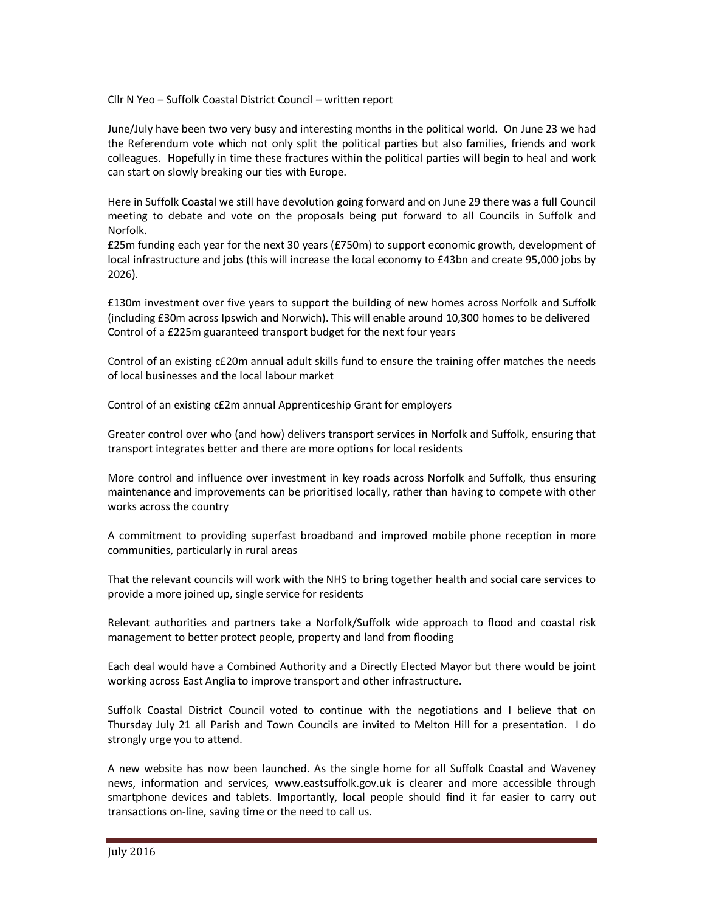Cllr N Yeo – Suffolk Coastal District Council – written report

June/July have been two very busy and interesting months in the political world. On June 23 we had the Referendum vote which not only split the political parties but also families, friends and work colleagues. Hopefully in time these fractures within the political parties will begin to heal and work can start on slowly breaking our ties with Europe.

Here in Suffolk Coastal we still have devolution going forward and on June 29 there was a full Council meeting to debate and vote on the proposals being put forward to all Councils in Suffolk and Norfolk.

£25m funding each year for the next 30 years (£750m) to support economic growth, development of local infrastructure and jobs (this will increase the local economy to £43bn and create 95,000 jobs by 2026).

£130m investment over five years to support the building of new homes across Norfolk and Suffolk (including £30m across Ipswich and Norwich). This will enable around 10,300 homes to be delivered Control of a £225m guaranteed transport budget for the next four years

Control of an existing c£20m annual adult skills fund to ensure the training offer matches the needs of local businesses and the local labour market

Control of an existing c£2m annual Apprenticeship Grant for employers

Greater control over who (and how) delivers transport services in Norfolk and Suffolk, ensuring that transport integrates better and there are more options for local residents

More control and influence over investment in key roads across Norfolk and Suffolk, thus ensuring maintenance and improvements can be prioritised locally, rather than having to compete with other works across the country

A commitment to providing superfast broadband and improved mobile phone reception in more communities, particularly in rural areas

That the relevant councils will work with the NHS to bring together health and social care services to provide a more joined up, single service for residents

Relevant authorities and partners take a Norfolk/Suffolk wide approach to flood and coastal risk management to better protect people, property and land from flooding

Each deal would have a Combined Authority and a Directly Elected Mayor but there would be joint working across East Anglia to improve transport and other infrastructure.

Suffolk Coastal District Council voted to continue with the negotiations and I believe that on Thursday July 21 all Parish and Town Councils are invited to Melton Hill for a presentation. I do strongly urge you to attend.

A new website has now been launched. As the single home for all Suffolk Coastal and Waveney news, information and services, www.eastsuffolk.gov.uk is clearer and more accessible through smartphone devices and tablets. Importantly, local people should find it far easier to carry out transactions on-line, saving time or the need to call us.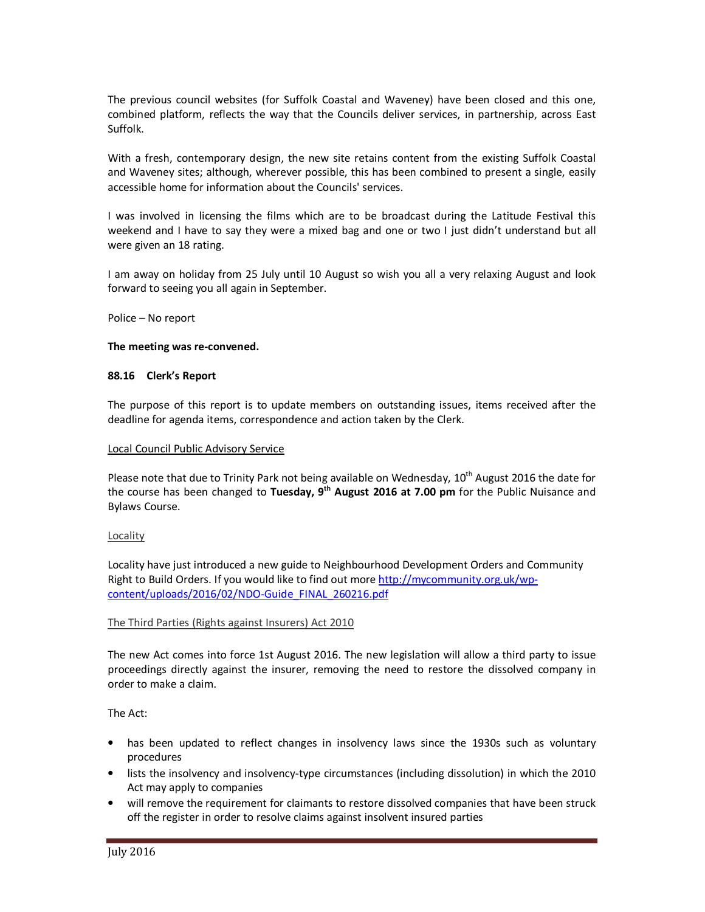The previous council websites (for Suffolk Coastal and Waveney) have been closed and this one, combined platform, reflects the way that the Councils deliver services, in partnership, across East Suffolk.

With a fresh, contemporary design, the new site retains content from the existing Suffolk Coastal and Waveney sites; although, wherever possible, this has been combined to present a single, easily accessible home for information about the Councils' services.

I was involved in licensing the films which are to be broadcast during the Latitude Festival this weekend and I have to say they were a mixed bag and one or two I just didn't understand but all were given an 18 rating.

I am away on holiday from 25 July until 10 August so wish you all a very relaxing August and look forward to seeing you all again in September.

Police – No report

#### **The meeting was re-convened.**

#### **88.16 Clerk's Report**

The purpose of this report is to update members on outstanding issues, items received after the deadline for agenda items, correspondence and action taken by the Clerk.

#### Local Council Public Advisory Service

Please note that due to Trinity Park not being available on Wednesday,  $10^{th}$  August 2016 the date for the course has been changed to **Tuesday, 9th August 2016 at 7.00 pm** for the Public Nuisance and Bylaws Course.

### Locality

Locality have just introduced a new guide to Neighbourhood Development Orders and Community Right to Build Orders. If you would like to find out more http://mycommunity.org.uk/wpcontent/uploads/2016/02/NDO-Guide\_FINAL\_260216.pdf

### The Third Parties (Rights against Insurers) Act 2010

The new Act comes into force 1st August 2016. The new legislation will allow a third party to issue proceedings directly against the insurer, removing the need to restore the dissolved company in order to make a claim.

## The Act:

- has been updated to reflect changes in insolvency laws since the 1930s such as voluntary procedures
- lists the insolvency and insolvency-type circumstances (including dissolution) in which the 2010 Act may apply to companies
- will remove the requirement for claimants to restore dissolved companies that have been struck off the register in order to resolve claims against insolvent insured parties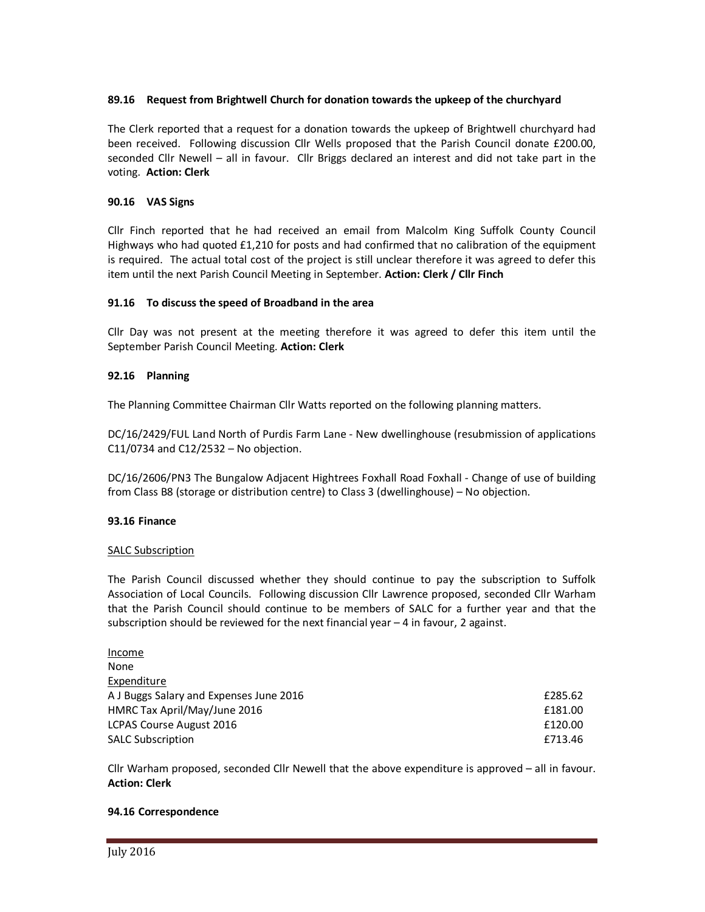# **89.16 Request from Brightwell Church for donation towards the upkeep of the churchyard**

The Clerk reported that a request for a donation towards the upkeep of Brightwell churchyard had been received. Following discussion Cllr Wells proposed that the Parish Council donate £200.00, seconded Cllr Newell – all in favour. Cllr Briggs declared an interest and did not take part in the voting. **Action: Clerk** 

# **90.16 VAS Signs**

Cllr Finch reported that he had received an email from Malcolm King Suffolk County Council Highways who had quoted £1,210 for posts and had confirmed that no calibration of the equipment is required. The actual total cost of the project is still unclear therefore it was agreed to defer this item until the next Parish Council Meeting in September. **Action: Clerk / Cllr Finch** 

# **91.16 To discuss the speed of Broadband in the area**

Cllr Day was not present at the meeting therefore it was agreed to defer this item until the September Parish Council Meeting. **Action: Clerk** 

### **92.16 Planning**

The Planning Committee Chairman Cllr Watts reported on the following planning matters.

DC/16/2429/FUL Land North of Purdis Farm Lane - New dwellinghouse (resubmission of applications C11/0734 and C12/2532 – No objection.

DC/16/2606/PN3 The Bungalow Adjacent Hightrees Foxhall Road Foxhall - Change of use of building from Class B8 (storage or distribution centre) to Class 3 (dwellinghouse) – No objection.

### **93.16 Finance**

### SALC Subscription

The Parish Council discussed whether they should continue to pay the subscription to Suffolk Association of Local Councils. Following discussion Cllr Lawrence proposed, seconded Cllr Warham that the Parish Council should continue to be members of SALC for a further year and that the subscription should be reviewed for the next financial year  $-4$  in favour, 2 against.

| Income                                  |         |
|-----------------------------------------|---------|
| None                                    |         |
| Expenditure                             |         |
| A J Buggs Salary and Expenses June 2016 | £285.62 |
| HMRC Tax April/May/June 2016            | £181.00 |
| LCPAS Course August 2016                | £120.00 |
| <b>SALC Subscription</b>                | £713.46 |

Cllr Warham proposed, seconded Cllr Newell that the above expenditure is approved – all in favour. **Action: Clerk** 

### **94.16 Correspondence**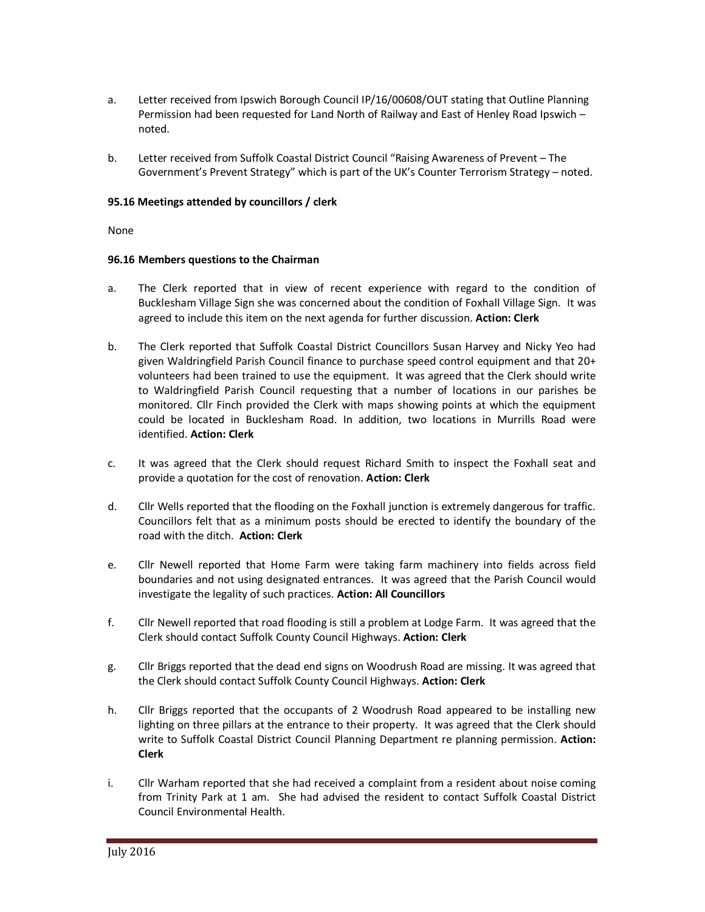- a. Letter received from Ipswich Borough Council IP/16/00608/OUT stating that Outline Planning Permission had been requested for Land North of Railway and East of Henley Road Ipswich – noted.
- b. Letter received from Suffolk Coastal District Council "Raising Awareness of Prevent The Government's Prevent Strategy" which is part of the UK's Counter Terrorism Strategy – noted.

## **95.16 Meetings attended by councillors / clerk**

None

### **96.16 Members questions to the Chairman**

- a. The Clerk reported that in view of recent experience with regard to the condition of Bucklesham Village Sign she was concerned about the condition of Foxhall Village Sign. It was agreed to include this item on the next agenda for further discussion. **Action: Clerk**
- b. The Clerk reported that Suffolk Coastal District Councillors Susan Harvey and Nicky Yeo had given Waldringfield Parish Council finance to purchase speed control equipment and that 20+ volunteers had been trained to use the equipment. It was agreed that the Clerk should write to Waldringfield Parish Council requesting that a number of locations in our parishes be monitored. Cllr Finch provided the Clerk with maps showing points at which the equipment could be located in Bucklesham Road. In addition, two locations in Murrills Road were identified. **Action: Clerk**
- c. It was agreed that the Clerk should request Richard Smith to inspect the Foxhall seat and provide a quotation for the cost of renovation. **Action: Clerk**
- d. Cllr Wells reported that the flooding on the Foxhall junction is extremely dangerous for traffic. Councillors felt that as a minimum posts should be erected to identify the boundary of the road with the ditch. **Action: Clerk**
- e. Cllr Newell reported that Home Farm were taking farm machinery into fields across field boundaries and not using designated entrances. It was agreed that the Parish Council would investigate the legality of such practices. **Action: All Councillors**
- f. Cllr Newell reported that road flooding is still a problem at Lodge Farm. It was agreed that the Clerk should contact Suffolk County Council Highways. **Action: Clerk**
- g. Cllr Briggs reported that the dead end signs on Woodrush Road are missing. It was agreed that the Clerk should contact Suffolk County Council Highways. **Action: Clerk**
- h. Cllr Briggs reported that the occupants of 2 Woodrush Road appeared to be installing new lighting on three pillars at the entrance to their property. It was agreed that the Clerk should write to Suffolk Coastal District Council Planning Department re planning permission. **Action: Clerk**
- i. Cllr Warham reported that she had received a complaint from a resident about noise coming from Trinity Park at 1 am. She had advised the resident to contact Suffolk Coastal District Council Environmental Health.